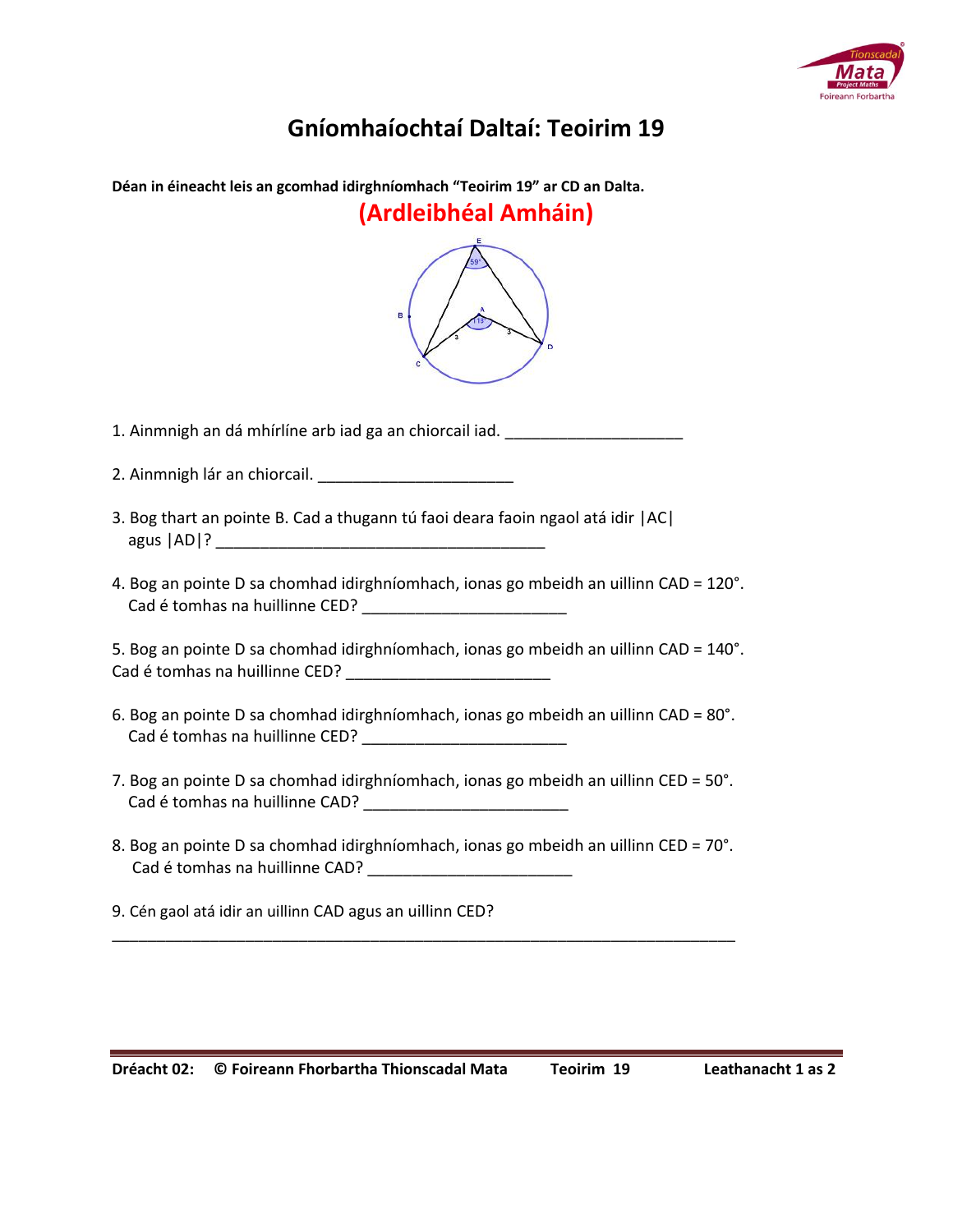

## **Gníomhaíochtaí Daltaí: Teoirim 19**

| Déan in éineacht leis an gcomhad idirghníomhach "Teoirim 19" ar CD an Dalta.                                          |
|-----------------------------------------------------------------------------------------------------------------------|
| (Ardleibhéal Amháin)                                                                                                  |
| в                                                                                                                     |
| 1. Ainmnigh an dá mhírlíne arb iad ga an chiorcail iad. ________________________                                      |
|                                                                                                                       |
| 3. Bog thart an pointe B. Cad a thugann tú faoi deara faoin ngaol atá idir   AC                                       |
| 4. Bog an pointe D sa chomhad idirghníomhach, ionas go mbeidh an uillinn CAD = 120°.                                  |
| 5. Bog an pointe D sa chomhad idirghníomhach, ionas go mbeidh an uillinn CAD = 140°.                                  |
| 6. Bog an pointe D sa chomhad idirghníomhach, ionas go mbeidh an uillinn CAD = 80°.                                   |
| 7. Bog an pointe D sa chomhad idirghníomhach, ionas go mbeidh an uillinn CED = 50°.                                   |
| 8. Bog an pointe D sa chomhad idirghníomhach, ionas go mbeidh an uillinn CED = 70°.<br>Cad é tomhas na huillinne CAD? |
| 9. Cén gaol atá idir an uillinn CAD agus an uillinn CED?                                                              |
|                                                                                                                       |